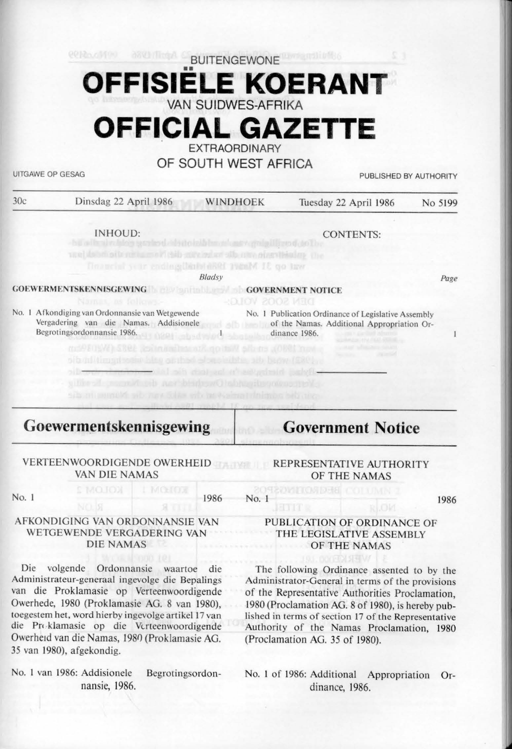# BUITENGEWONE •• **OFFISIELE KOERANT**  VAN SUIDWES-AFRIKA

**OFFICIAL GAZETTE** 

**EXTRAORDINARY** 

## OF SOUTH WEST AFRICA

UITGAWE OP GESAG PUBLISHED BY AUTHORITY

| 30c | Dinsdag 22 April 1986 | WINDHOEK | Tuesday 22 April 1986 | No 5199 |
|-----|-----------------------|----------|-----------------------|---------|
|     |                       |          |                       |         |

INHOUD:

No. I Afkondiging van Ordonnansie van We1gewende

CONTENTS:

Doamclut year ending that with 1986M 18 go taw

#### **GOEWERMENTSKENNISGEWING GOVERNMENT NOTICE**

Vergadering van die Namas. Addisionelc of the Namas. Additional Appropriation Or-No. I Publication Ordinance of Legislative Assembly dinance 1986.

# **Goewerm~ntskennisgewing**

## VERTEENWOORDIGENDE OWERHEID REPRESENTATIVE AUTHORITY VAN DIE NAMAS

No. 1 1986

No. l

## AFKONDlGlNG VAN ORDONNANSIE VAN WETGEWENDE VERGADERING VAN DIE **NAMAS**

Die volgende Ordonnansie waartoe die Administrateur-generaal ingevolge die Bepalings van die Proklamasie op Verteenwoordigende Owerhede, 1980 (Proklamasie AG. 8 van 1980), toegeslem het, word hierby ingevolge artikel 17 van die Pn klamasie op die Vtrteenwoordigende Owerheid van die Namas, 1980 (Proklamasie AG. 35 van 1980), afgekondig.

No. 1 van 1986: Addisionele Begrotingsordonnansie, 1986.

# **Government Notice**

# OF THE NAMAS

1986

## PUBLICATION OF ORDINANCE OF THE LEGISLATIVE ASSEMBLY OF THE NAMAS

The following Ordinance assented to by the Administrator-General in terms of the provisions of the Representative Authorities Proclamation, 1980 (Proclamation AG. 8 of 1980), is hereby published in terms of section 17 of the Representative Authority of the Namas Proclamation, 1980 (Proclamation AG. 35 of 1980).

No. I of 1986: Additional Appropriation Ordinance, 1986.

we determine the relationship different states of the construction of

Begrotingsordonnansie 1986.

*8/adsy* 

DEN SOOS VOLG-

ï

Page